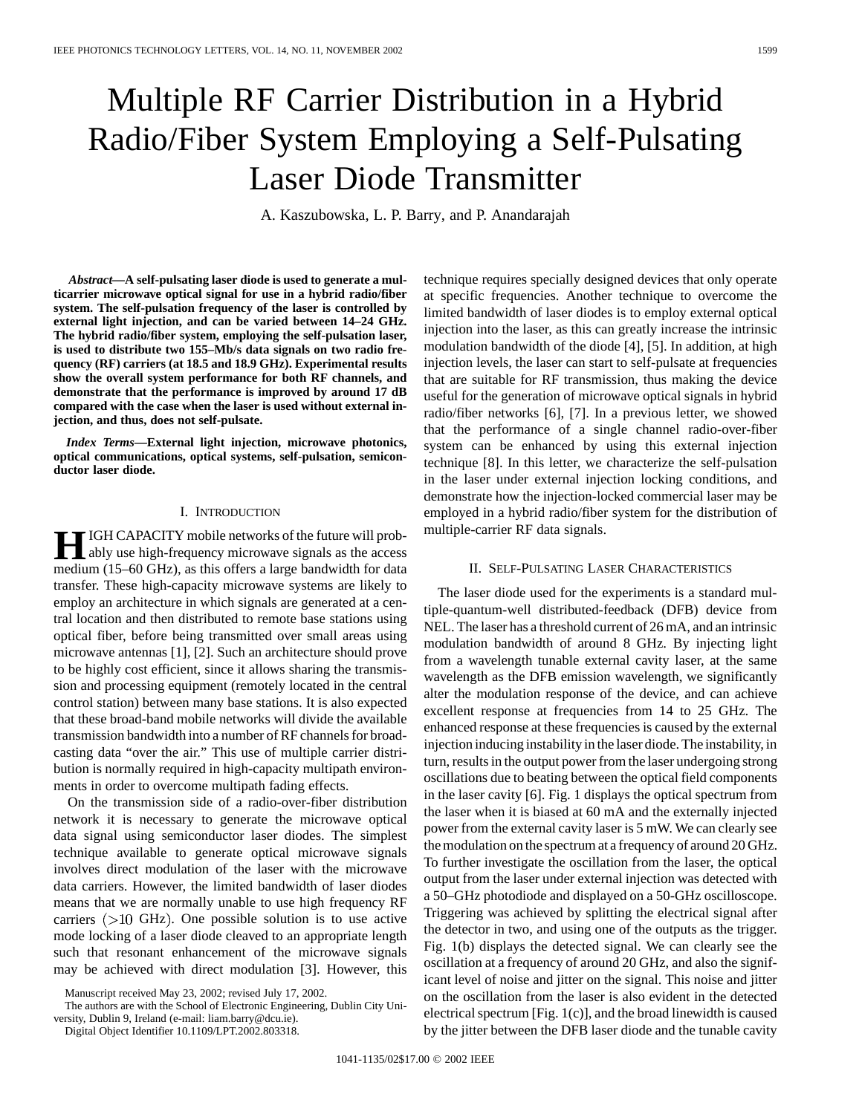# Multiple RF Carrier Distribution in a Hybrid Radio/Fiber System Employing a Self-Pulsating Laser Diode Transmitter

A. Kaszubowska, L. P. Barry, and P. Anandarajah

*Abstract—***A self-pulsating laser diode is used to generate a multicarrier microwave optical signal for use in a hybrid radio/fiber system. The self-pulsation frequency of the laser is controlled by external light injection, and can be varied between 14–24 GHz. The hybrid radio/fiber system, employing the self-pulsation laser, is used to distribute two 155–Mb/s data signals on two radio frequency (RF) carriers (at 18.5 and 18.9 GHz). Experimental results show the overall system performance for both RF channels, and demonstrate that the performance is improved by around 17 dB compared with the case when the laser is used without external injection, and thus, does not self-pulsate.**

*Index Terms—***External light injection, microwave photonics, optical communications, optical systems, self-pulsation, semiconductor laser diode.**

#### I. INTRODUCTION

**HE** IGH CAPACITY mobile networks of the future will prob-<br>ably use high-frequency microwave signals as the access medium (15–60 GHz), as this offers a large bandwidth for data transfer. These high-capacity microwave systems are likely to employ an architecture in which signals are generated at a central location and then distributed to remote base stations using optical fiber, before being transmitted over small areas using microwave antennas [1], [2]. Such an architecture should prove to be highly cost efficient, since it allows sharing the transmission and processing equipment (remotely located in the central control station) between many base stations. It is also expected that these broad-band mobile networks will divide the available transmission bandwidth into a number of RF channels for broadcasting data "over the air." This use of multiple carrier distribution is normally required in high-capacity multipath environments in order to overcome multipath fading effects.

On the transmission side of a radio-over-fiber distribution network it is necessary to generate the microwave optical data signal using semiconductor laser diodes. The simplest technique available to generate optical microwave signals involves direct modulation of the laser with the microwave data carriers. However, the limited bandwidth of laser diodes means that we are normally unable to use high frequency RF carriers  $(>10$  GHz). One possible solution is to use active mode locking of a laser diode cleaved to an appropriate length such that resonant enhancement of the microwave signals may be achieved with direct modulation [3]. However, this technique requires specially designed devices that only operate at specific frequencies. Another technique to overcome the limited bandwidth of laser diodes is to employ external optical injection into the laser, as this can greatly increase the intrinsic modulation bandwidth of the diode [4], [5]. In addition, at high injection levels, the laser can start to self-pulsate at frequencies that are suitable for RF transmission, thus making the device useful for the generation of microwave optical signals in hybrid radio/fiber networks [6], [7]. In a previous letter, we showed that the performance of a single channel radio-over-fiber system can be enhanced by using this external injection technique [8]. In this letter, we characterize the self-pulsation in the laser under external injection locking conditions, and demonstrate how the injection-locked commercial laser may be employed in a hybrid radio/fiber system for the distribution of multiple-carrier RF data signals.

## II. SELF-PULSATING LASER CHARACTERISTICS

The laser diode used for the experiments is a standard multiple-quantum-well distributed-feedback (DFB) device from NEL. The laser has a threshold current of 26 mA, and an intrinsic modulation bandwidth of around 8 GHz. By injecting light from a wavelength tunable external cavity laser, at the same wavelength as the DFB emission wavelength, we significantly alter the modulation response of the device, and can achieve excellent response at frequencies from 14 to 25 GHz. The enhanced response at these frequencies is caused by the external injection inducing instability in the laser diode. The instability, in turn, results in the output power from the laser undergoing strong oscillations due to beating between the optical field components in the laser cavity [6]. Fig. 1 displays the optical spectrum from the laser when it is biased at 60 mA and the externally injected power from the external cavity laser is 5 mW. We can clearly see the modulation on the spectrum at a frequency of around 20 GHz. To further investigate the oscillation from the laser, the optical output from the laser under external injection was detected with a 50–GHz photodiode and displayed on a 50-GHz oscilloscope. Triggering was achieved by splitting the electrical signal after the detector in two, and using one of the outputs as the trigger. Fig. 1(b) displays the detected signal. We can clearly see the oscillation at a frequency of around 20 GHz, and also the significant level of noise and jitter on the signal. This noise and jitter on the oscillation from the laser is also evident in the detected electrical spectrum [Fig. 1(c)], and the broad linewidth is caused by the jitter between the DFB laser diode and the tunable cavity

Manuscript received May 23, 2002; revised July 17, 2002.

The authors are with the School of Electronic Engineering, Dublin City University, Dublin 9, Ireland (e-mail: liam.barry@dcu.ie).

Digital Object Identifier 10.1109/LPT.2002.803318.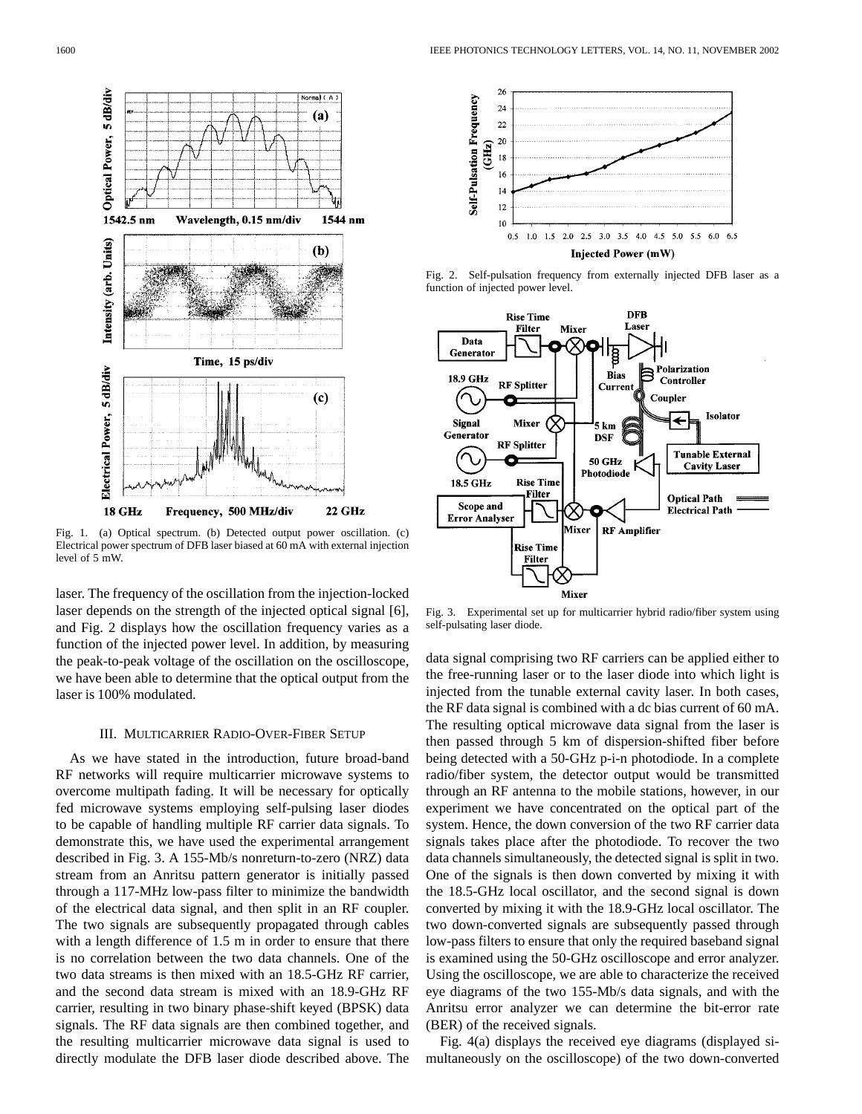

Fig. 1. (a) Optical spectrum. (b) Detected output power oscillation. (c) Electrical power spectrum of DFB laser biased at 60 mA with external injection level of 5 mW.

laser. The frequency of the oscillation from the injection-locked laser depends on the strength of the injected optical signal [6], and Fig. 2 displays how the oscillation frequency varies as a function of the injected power level. In addition, by measuring the peak-to-peak voltage of the oscillation on the oscilloscope, we have been able to determine that the optical output from the laser is 100% modulated.

## III. MULTICARRIER RADIO-OVER-FIBER SETUP

As we have stated in the introduction, future broad-band RF networks will require multicarrier microwave systems to overcome multipath fading. It will be necessary for optically fed microwave systems employing self-pulsing laser diodes to be capable of handling multiple RF carrier data signals. To demonstrate this, we have used the experimental arrangement described in Fig. 3. A 155-Mb/s nonreturn-to-zero (NRZ) data stream from an Anritsu pattern generator is initially passed through a 117-MHz low-pass filter to minimize the bandwidth of the electrical data signal, and then split in an RF coupler. The two signals are subsequently propagated through cables with a length difference of 1.5 m in order to ensure that there is no correlation between the two data channels. One of the two data streams is then mixed with an 18.5-GHz RF carrier, and the second data stream is mixed with an 18.9-GHz RF carrier, resulting in two binary phase-shift keyed (BPSK) data signals. The RF data signals are then combined together, and the resulting multicarrier microwave data signal is used to directly modulate the DFB laser diode described above. The



Fig. 2. Self-pulsation frequency from externally injected DFB laser as a function of injected power level.



Fig. 3. Experimental set up for multicarrier hybrid radio/fiber system using self-pulsating laser diode.

data signal comprising two RF carriers can be applied either to the free-running laser or to the laser diode into which light is injected from the tunable external cavity laser. In both cases, the RF data signal is combined with a dc bias current of 60 mA. The resulting optical microwave data signal from the laser is then passed through 5 km of dispersion-shifted fiber before being detected with a 50-GHz p-i-n photodiode. In a complete radio/fiber system, the detector output would be transmitted through an RF antenna to the mobile stations, however, in our experiment we have concentrated on the optical part of the system. Hence, the down conversion of the two RF carrier data signals takes place after the photodiode. To recover the two data channels simultaneously, the detected signal is split in two. One of the signals is then down converted by mixing it with the 18.5-GHz local oscillator, and the second signal is down converted by mixing it with the 18.9-GHz local oscillator. The two down-converted signals are subsequently passed through low-pass filters to ensure that only the required baseband signal is examined using the 50-GHz oscilloscope and error analyzer. Using the oscilloscope, we are able to characterize the received eye diagrams of the two 155-Mb/s data signals, and with the Anritsu error analyzer we can determine the bit-error rate (BER) of the received signals.

Fig. 4(a) displays the received eye diagrams (displayed simultaneously on the oscilloscope) of the two down-converted